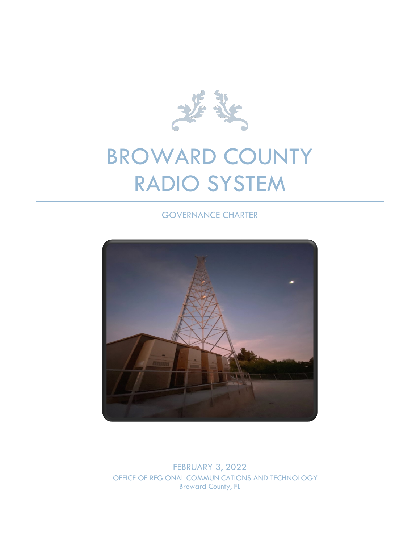

# BROWARD COUNTY RADIO SYSTEM

## GOVERNANCE CHARTER



FEBRUARY 3, 2022 OFFICE OF REGIONAL COMMUNICATIONS AND TECHNOLOGY Broward County, FL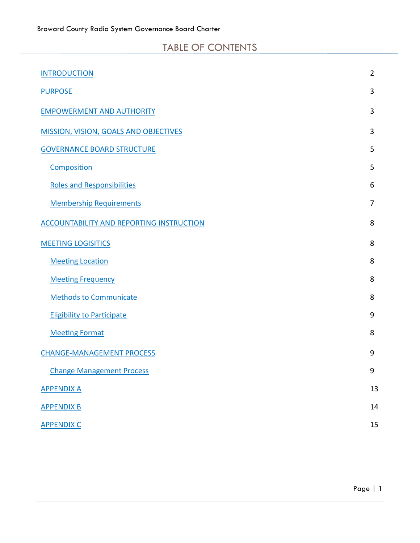# TABLE OF CONTENTS

<span id="page-1-0"></span>

| <b>INTRODUCTION</b>                             | $\overline{2}$ |
|-------------------------------------------------|----------------|
| <b>PURPOSE</b>                                  | 3              |
| <b>EMPOWERMENT AND AUTHORITY</b>                | 3              |
| <b>MISSION, VISION, GOALS AND OBJECTIVES</b>    | 3              |
| <b>GOVERNANCE BOARD STRUCTURE</b>               | 5              |
| Composition                                     | 5              |
| <b>Roles and Responsibilities</b>               | 6              |
| <b>Membership Requirements</b>                  | $\overline{7}$ |
| <b>ACCOUNTABILITY AND REPORTING INSTRUCTION</b> | 8              |
| <b>MEETING LOGISITICS</b>                       | 8              |
| <b>Meeting Location</b>                         | 8              |
| <b>Meeting Frequency</b>                        | 8              |
| <b>Methods to Communicate</b>                   | 8              |
| <b>Eligibility to Participate</b>               | 9              |
| <b>Meeting Format</b>                           | 8              |
| <b>CHANGE-MANAGEMENT PROCESS</b>                | 9              |
| <b>Change Management Process</b>                | 9              |
| <b>APPENDIX A</b>                               | 13             |
| <b>APPENDIX B</b>                               | 14             |
| <b>APPENDIX C</b>                               | 15             |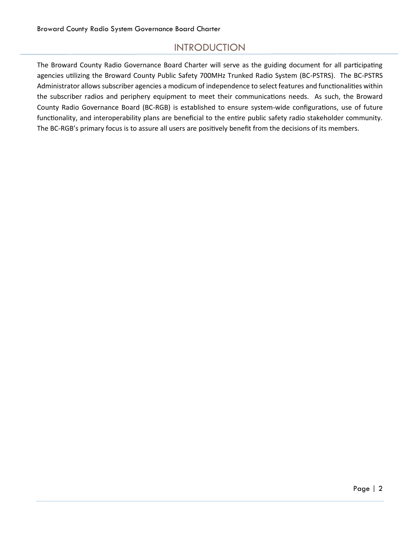# INTRODUCTION

The Broward County Radio Governance Board Charter will serve as the guiding document for all participating agencies utilizing the Broward County Public Safety 700MHz Trunked Radio System (BC-PSTRS). The BC-PSTRS Administrator allows subscriber agencies a modicum of independence to select features and functionalities within the subscriber radios and periphery equipment to meet their communications needs. As such, the Broward County Radio Governance Board (BC-RGB) is established to ensure system-wide configurations, use of future functionality, and interoperability plans are beneficial to the entire public safety radio stakeholder community. The BC-RGB's primary focus is to assure all users are positively benefit from the decisions of its members.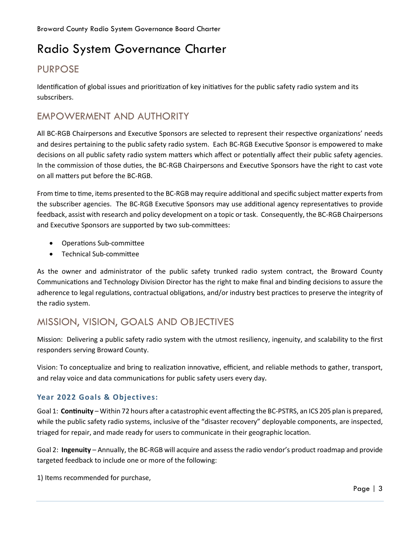# Radio System Governance Charter

# <span id="page-3-0"></span>PURPOSE

Identification of global issues and prioritization of key initiatives for the public safety radio system and its subscribers.

# <span id="page-3-1"></span>EMPOWERMENT AND AUTHORITY

All BC-RGB Chairpersons and Executive Sponsors are selected to represent their respective organizations' needs and desires pertaining to the public safety radio system. Each BC-RGB Executive Sponsor is empowered to make decisions on all public safety radio system matters which affect or potentially affect their public safety agencies. In the commission of those duties, the BC-RGB Chairpersons and Executive Sponsors have the right to cast vote on all matters put before the BC-RGB.

From time to time, items presented to the BC-RGB may require additional and specific subject matter experts from the subscriber agencies. The BC-RGB Executive Sponsors may use additional agency representatives to provide feedback, assist with research and policy development on a topic or task. Consequently, the BC-RGB Chairpersons and Executive Sponsors are supported by two sub-committees:

- Operations Sub-committee
- Technical Sub-committee

As the owner and administrator of the public safety trunked radio system contract, the Broward County Communications and Technology Division Director has the right to make final and binding decisions to assure the adherence to legal regulations, contractual obligations, and/or industry best practices to preserve the integrity of the radio system.

# <span id="page-3-2"></span>MISSION, VISION, GOALS AND OBJECTIVES

Mission: Delivering a public safety radio system with the utmost resiliency, ingenuity, and scalability to the first responders serving Broward County.

Vision: To conceptualize and bring to realization innovative, efficient, and reliable methods to gather, transport, and relay voice and data communications for public safety users every day.

## **Year 2022 Goals & Objectives:**

Goal 1: **Continuity** – Within 72 hours after a catastrophic event affecting the BC-PSTRS, an ICS 205 plan is prepared, while the public safety radio systems, inclusive of the "disaster recovery" deployable components, are inspected, triaged for repair, and made ready for users to communicate in their geographic location.

Goal 2: **Ingenuity** – Annually, the BC-RGB will acquire and assess the radio vendor's product roadmap and provide targeted feedback to include one or more of the following:

1) Items recommended for purchase,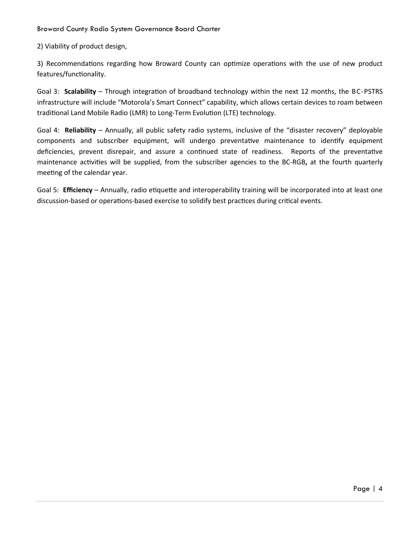2) Viability of product design,

3) Recommendations regarding how Broward County can optimize operations with the use of new product features/functionality.

Goal 3: **Scalability** – Through integration of broadband technology within the next 12 months, the BC-PSTRS infrastructure will include "Motorola's Smart Connect" capability, which allows certain devices to roam between traditional Land Mobile Radio (LMR) to Long-Term Evolution (LTE) technology.

Goal 4: **Reliability** – Annually, all public safety radio systems, inclusive of the "disaster recovery" deployable components and subscriber equipment, will undergo preventative maintenance to identify equipment deficiencies, prevent disrepair, and assure a continued state of readiness. Reports of the preventative maintenance activities will be supplied, from the subscriber agencies to the BC-RGB**,** at the fourth quarterly meeting of the calendar year.

Goal 5: **Efficiency** – Annually, radio etiquette and interoperability training will be incorporated into at least one discussion-based or operations-based exercise to solidify best practices during critical events.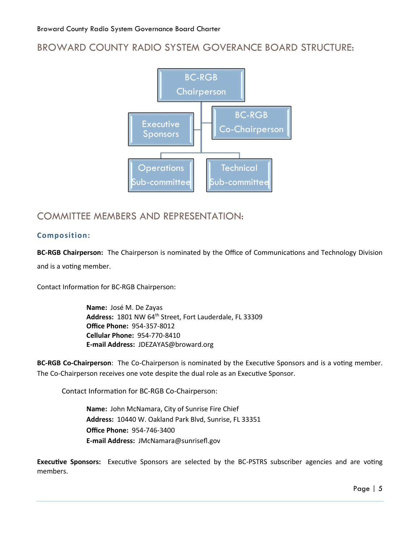# <span id="page-5-0"></span>BROWARD COUNTY RADIO SYSTEM GOVERANCE BOARD STRUCTURE:



## COMMITTEE MEMBERS AND REPRESENTATION:

#### <span id="page-5-1"></span>**Composition:**

**BC-RGB Chairperson:** The Chairperson is nominated by the Office of Communications and Technology Division and is a voting member.

Contact Information for BC-RGB Chairperson:

**Name:** José M. De Zayas Address: 1801 NW 64<sup>th</sup> Street, Fort Lauderdale, FL 33309 **Office Phone:** 954-357-8012 **Cellular Phone:** 954-770-8410 **E-mail Address:** JDEZAYAS@broward.org

**BC-RGB Co-Chairperson**: The Co-Chairperson is nominated by the Executive Sponsors and is a voting member. The Co-Chairperson receives one vote despite the dual role as an Executive Sponsor.

Contact Information for BC-RGB Co-Chairperson:

**Name:** John McNamara, City of Sunrise Fire Chief **Address:** 10440 W. Oakland Park Blvd, Sunrise, FL 33351 **Office Phone:** 954-746-3400 **E-mail Address:** JMcNamara@sunrisefl.gov

**Executive Sponsors:** Executive Sponsors are selected by the BC-PSTRS subscriber agencies and are voting members.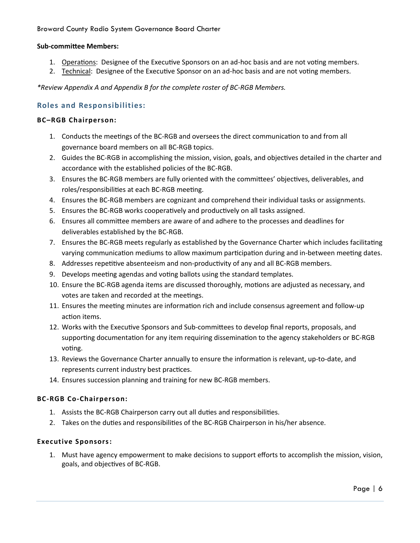#### **Sub-committee Members:**

- 1. Operations: Designee of the Executive Sponsors on an ad-hoc basis and are not voting members.
- 2. Technical: Designee of the Executive Sponsor on an ad-hoc basis and are not voting members.

*\*Review Appendix A and Appendix B for the complete roster of BC-RGB Members.*

#### <span id="page-6-0"></span>**Roles and Responsibilities:**

#### **BC–RGB Chairperson:**

- 1. Conducts the meetings of the BC-RGB and oversees the direct communication to and from all governance board members on all BC-RGB topics.
- 2. Guides the BC-RGB in accomplishing the mission, vision, goals, and objectives detailed in the charter and accordance with the established policies of the BC-RGB.
- 3. Ensures the BC-RGB members are fully oriented with the committees' objectives, deliverables, and roles/responsibilities at each BC-RGB meeting.
- 4. Ensures the BC-RGB members are cognizant and comprehend their individual tasks or assignments.
- 5. Ensures the BC-RGB works cooperatively and productively on all tasks assigned.
- 6. Ensures all committee members are aware of and adhere to the processes and deadlines for deliverables established by the BC-RGB.
- 7. Ensures the BC-RGB meets regularly as established by the Governance Charter which includes facilitating varying communication mediums to allow maximum participation during and in-between meeting dates.
- 8. Addresses repetitive absenteeism and non-productivity of any and all BC-RGB members.
- 9. Develops meeting agendas and voting ballots using the standard templates.
- 10. Ensure the BC-RGB agenda items are discussed thoroughly, motions are adjusted as necessary, and votes are taken and recorded at the meetings.
- 11. Ensures the meeting minutes are information rich and include consensus agreement and follow-up action items.
- 12. Works with the Executive Sponsors and Sub-committees to develop final reports, proposals, and supporting documentation for any item requiring dissemination to the agency stakeholders or BC-RGB voting.
- 13. Reviews the Governance Charter annually to ensure the information is relevant, up-to-date, and represents current industry best practices.
- 14. Ensures succession planning and training for new BC-RGB members.

#### **BC-RGB Co-Chairperson:**

- 1. Assists the BC-RGB Chairperson carry out all duties and responsibilities.
- 2. Takes on the duties and responsibilities of the BC-RGB Chairperson in his/her absence.

#### **Executive Sponsors:**

1. Must have agency empowerment to make decisions to support efforts to accomplish the mission, vision, goals, and objectives of BC-RGB.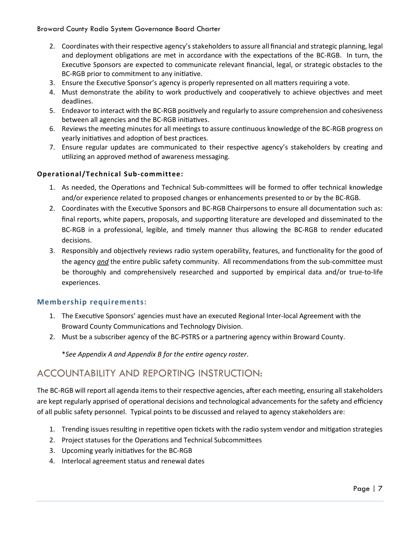- 2. Coordinates with their respective agency'sstakeholders to assure all financial and strategic planning, legal and deployment obligations are met in accordance with the expectations of the BC-RGB. In turn, the Executive Sponsors are expected to communicate relevant financial, legal, or strategic obstacles to the BC-RGB prior to commitment to any initiative.
- 3. Ensure the Executive Sponsor's agency is properly represented on all matters requiring a vote.
- 4. Must demonstrate the ability to work productively and cooperatively to achieve objectives and meet deadlines.
- 5. Endeavor to interact with the BC-RGB positively and regularly to assure comprehension and cohesiveness between all agencies and the BC-RGB initiatives.
- 6. Reviews the meeting minutes for all meetings to assure continuous knowledge of the BC-RGB progress on yearly initiatives and adoption of best practices.
- 7. Ensure regular updates are communicated to their respective agency's stakeholders by creating and utilizing an approved method of awareness messaging.

#### **Operational/Technical Sub-committee:**

- 1. As needed, the Operations and Technical Sub-committees will be formed to offer technical knowledge and/or experience related to proposed changes or enhancements presented to or by the BC-RGB.
- 2. Coordinates with the Executive Sponsors and BC-RGB Chairpersons to ensure all documentation such as: final reports, white papers, proposals, and supporting literature are developed and disseminated to the BC-RGB in a professional, legible, and timely manner thus allowing the BC-RGB to render educated decisions.
- 3. Responsibly and objectively reviews radio system operability, features, and functionality for the good of the agency *and* the entire public safety community. All recommendations from the sub-committee must be thoroughly and comprehensively researched and supported by empirical data and/or true-to-life experiences.

#### <span id="page-7-0"></span>**Membership requirements:**

- 1. The Executive Sponsors' agencies must have an executed Regional Inter-local Agreement with the Broward County Communications and Technology Division.
- 2. Must be a subscriber agency of the BC-PSTRS or a partnering agency within Broward County.

\**See Appendix A and Appendix B for the entire agency roster*.

## <span id="page-7-1"></span>ACCOUNTABILITY AND REPORTING INSTRUCTION:

The BC-RGB will report all agenda items to their respective agencies, after each meeting, ensuring all stakeholders are kept regularly apprised of operational decisions and technological advancements for the safety and efficiency of all public safety personnel. Typical points to be discussed and relayed to agency stakeholders are:

- 1. Trending issues resulting in repetitive open tickets with the radio system vendor and mitigation strategies
- 2. Project statuses for the Operations and Technical Subcommittees
- 3. Upcoming yearly initiatives for the BC-RGB
- 4. Interlocal agreement status and renewal dates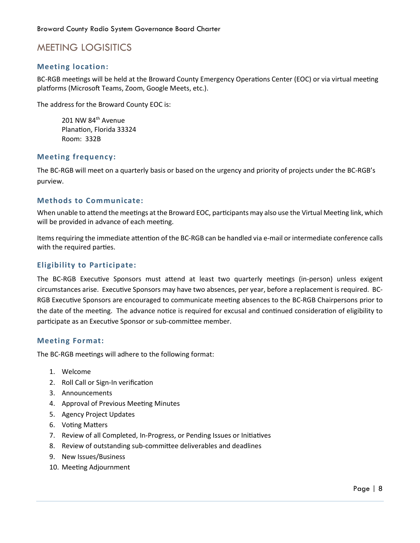# <span id="page-8-0"></span>MEETING LOGISITICS

#### <span id="page-8-1"></span>**Meeting location:**

BC-RGB meetings will be held at the Broward County Emergency Operations Center (EOC) or via virtual meeting platforms (Microsoft Teams, Zoom, Google Meets, etc.).

The address for the Broward County EOC is:

201 NW 84<sup>th</sup> Avenue Planation, Florida 33324 Room: 332B

#### <span id="page-8-2"></span>**Meeting frequency:**

The BC-RGB will meet on a quarterly basis or based on the urgency and priority of projects under the BC-RGB's purview.

#### <span id="page-8-3"></span>**Methods to Communicate:**

When unable to attend the meetings at the Broward EOC, participants may also use the Virtual Meeting link, which will be provided in advance of each meeting.

Items requiring the immediate attention of the BC-RGB can be handled via e-mail or intermediate conference calls with the required parties.

#### <span id="page-8-4"></span>**Eligibility to Participate:**

The BC-RGB Executive Sponsors must attend at least two quarterly meetings (in-person) unless exigent circumstances arise. Executive Sponsors may have two absences, per year, before a replacement is required. BC-RGB Executive Sponsors are encouraged to communicate meeting absences to the BC-RGB Chairpersons prior to the date of the meeting. The advance notice is required for excusal and continued consideration of eligibility to participate as an Executive Sponsor or sub-committee member.

#### <span id="page-8-5"></span>**Meeting Format:**

The BC-RGB meetings will adhere to the following format:

- 1. Welcome
- 2. Roll Call or Sign-In verification
- 3. Announcements
- 4. Approval of Previous Meeting Minutes
- 5. Agency Project Updates
- 6. Voting Matters
- 7. Review of all Completed, In-Progress, or Pending Issues or Initiatives
- 8. Review of outstanding sub-committee deliverables and deadlines
- 9. New Issues/Business
- 10. Meeting Adjournment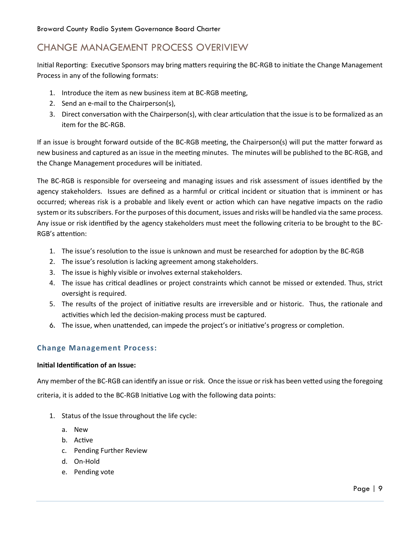# <span id="page-9-0"></span>CHANGE MANAGEMENT PROCESS OVERIVIEW

Initial Reporting: Executive Sponsors may bring matters requiring the BC-RGB to initiate the Change Management Process in any of the following formats:

- 1. Introduce the item as new business item at BC-RGB meeting,
- 2. Send an e-mail to the Chairperson(s),
- 3. Direct conversation with the Chairperson(s), with clear articulation that the issue is to be formalized as an item for the BC-RGB.

If an issue is brought forward outside of the BC-RGB meeting, the Chairperson(s) will put the matter forward as new business and captured as an issue in the meeting minutes. The minutes will be published to the BC-RGB, and the Change Management procedures will be initiated.

The BC-RGB is responsible for overseeing and managing issues and risk assessment of issues identified by the agency stakeholders. Issues are defined as a harmful or critical incident or situation that is imminent or has occurred; whereas risk is a probable and likely event or action which can have negative impacts on the radio system or its subscribers. For the purposes of this document, issues and risks will be handled via the same process. Any issue or risk identified by the agency stakeholders must meet the following criteria to be brought to the BC-RGB's attention:

- 1. The issue's resolution to the issue is unknown and must be researched for adoption by the BC-RGB
- 2. The issue's resolution is lacking agreement among stakeholders.
- 3. The issue is highly visible or involves external stakeholders.
- 4. The issue has critical deadlines or project constraints which cannot be missed or extended. Thus, strict oversight is required.
- 5. The results of the project of initiative results are irreversible and or historic. Thus, the rationale and activities which led the decision-making process must be captured.
- 6. The issue, when unattended, can impede the project's or initiative's progress or completion.

## <span id="page-9-1"></span>**Change Management Process:**

## **Initial Identification of an Issue:**

Any member of the BC-RGB can identify an issue or risk. Once the issue or risk has been vetted using the foregoing criteria, it is added to the BC-RGB Initiative Log with the following data points:

- 1. Status of the Issue throughout the life cycle:
	- a. New
	- b. Active
	- c. Pending Further Review
	- d. On-Hold
	- e. Pending vote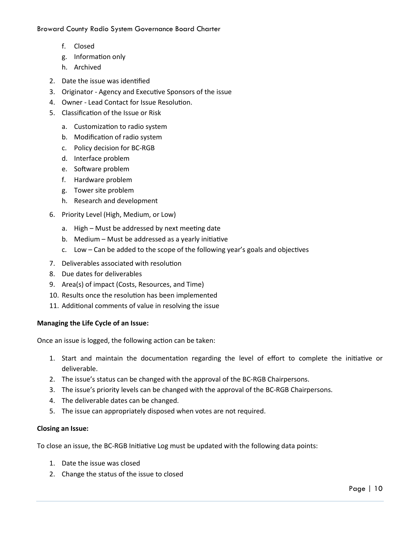- f. Closed
- g. Information only
- h. Archived
- 2. Date the issue was identified
- 3. Originator Agency and Executive Sponsors of the issue
- 4. Owner Lead Contact for Issue Resolution.
- 5. Classification of the Issue or Risk
	- a. Customization to radio system
	- b. Modification of radio system
	- c. Policy decision for BC-RGB
	- d. Interface problem
	- e. Software problem
	- f. Hardware problem
	- g. Tower site problem
	- h. Research and development
- 6. Priority Level (High, Medium, or Low)
	- a. High Must be addressed by next meeting date
	- b. Medium Must be addressed as a yearly initiative
	- c. Low Can be added to the scope of the following year's goals and objectives
- 7. Deliverables associated with resolution
- 8. Due dates for deliverables
- 9. Area(s) of impact (Costs, Resources, and Time)
- 10. Results once the resolution has been implemented
- 11. Additional comments of value in resolving the issue

#### **Managing the Life Cycle of an Issue:**

Once an issue is logged, the following action can be taken:

- 1. Start and maintain the documentation regarding the level of effort to complete the initiative or deliverable.
- 2. The issue's status can be changed with the approval of the BC-RGB Chairpersons.
- 3. The issue's priority levels can be changed with the approval of the BC-RGB Chairpersons.
- 4. The deliverable dates can be changed.
- 5. The issue can appropriately disposed when votes are not required.

#### **Closing an Issue:**

To close an issue, the BC-RGB Initiative Log must be updated with the following data points:

- 1. Date the issue was closed
- 2. Change the status of the issue to closed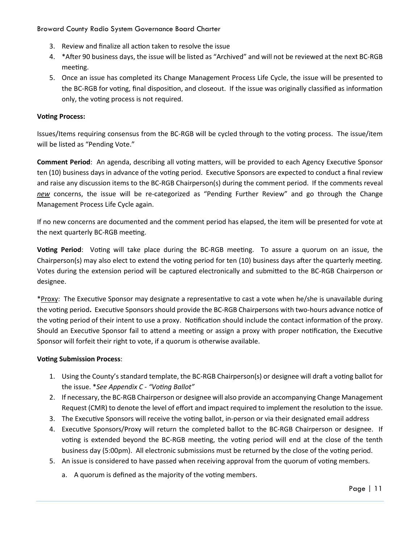- 3. Review and finalize all action taken to resolve the issue
- 4. \*After 90 business days, the issue will be listed as "Archived" and will not be reviewed at the next BC-RGB meeting.
- 5. Once an issue has completed its Change Management Process Life Cycle, the issue will be presented to the BC-RGB for voting, final disposition, and closeout. If the issue was originally classified as information only, the voting process is not required.

#### **Voting Process:**

Issues/Items requiring consensus from the BC-RGB will be cycled through to the voting process. The issue/item will be listed as "Pending Vote."

**Comment Period**: An agenda, describing all voting matters, will be provided to each Agency Executive Sponsor ten (10) business days in advance of the voting period. Executive Sponsors are expected to conduct a final review and raise any discussion items to the BC-RGB Chairperson(s) during the comment period. If the comments reveal *new* concerns, the issue will be re-categorized as "Pending Further Review" and go through the Change Management Process Life Cycle again.

If no new concerns are documented and the comment period has elapsed, the item will be presented for vote at the next quarterly BC-RGB meeting.

**Voting Period**: Voting will take place during the BC-RGB meeting. To assure a quorum on an issue, the Chairperson(s) may also elect to extend the voting period for ten (10) business days after the quarterly meeting. Votes during the extension period will be captured electronically and submitted to the BC-RGB Chairperson or designee.

\*Proxy: The Executive Sponsor may designate a representative to cast a vote when he/she is unavailable during the voting period**.** Executive Sponsors should provide the BC-RGB Chairpersons with two-hours advance notice of the voting period of their intent to use a proxy. Notification should include the contact information of the proxy. Should an Executive Sponsor fail to attend a meeting or assign a proxy with proper notification, the Executive Sponsor will forfeit their right to vote, if a quorum is otherwise available.

#### **Voting Submission Process**:

- 1. Using the County's standard template, the BC-RGB Chairperson(s) or designee will draft a voting ballot for the issue. \**See Appendix C - "Voting Ballot"*
- 2. If necessary, the BC-RGB Chairperson or designee will also provide an accompanying Change Management Request (CMR) to denote the level of effort and impact required to implement the resolution to the issue.
- 3. The Executive Sponsors will receive the voting ballot, in-person or via their designated email address
- 4. Executive Sponsors/Proxy will return the completed ballot to the BC-RGB Chairperson or designee. If voting is extended beyond the BC-RGB meeting, the voting period will end at the close of the tenth business day (5:00pm). All electronic submissions must be returned by the close of the voting period.
- 5. An issue is considered to have passed when receiving approval from the quorum of voting members.
	- a. A quorum is defined as the majority of the voting members.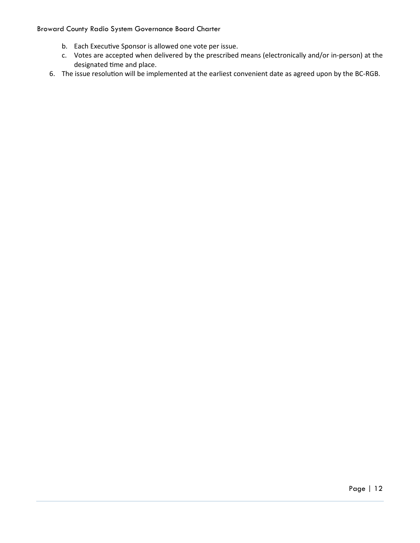- b. Each Executive Sponsor is allowed one vote per issue.
- c. Votes are accepted when delivered by the prescribed means (electronically and/or in-person) at the designated time and place.
- 6. The issue resolution will be implemented at the earliest convenient date as agreed upon by the BC-RGB.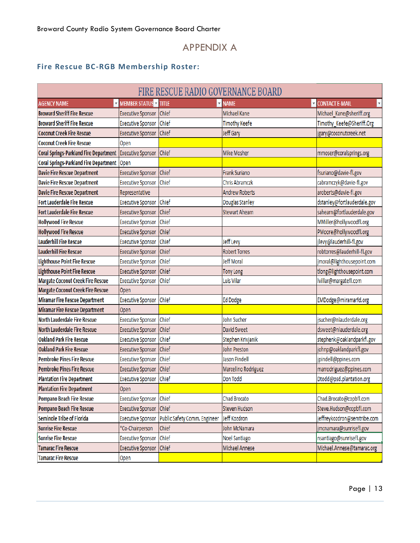## APPENDIX A

## <span id="page-13-0"></span>**Fire Rescue BC-RGB Membership Roster:**

|                                               |                                       | FIRE RESCUE RADIO GOVERNANCE BOARD |                       |                                                      |
|-----------------------------------------------|---------------------------------------|------------------------------------|-----------------------|------------------------------------------------------|
| <b>AGENCY NAME</b>                            | <b>V</b> MEMBER STATUS <b>V</b> TITLE |                                    | $\nabla$ NAME         | <b>V CONTACT E-MAIL</b><br>$\boldsymbol{\mathrm{v}}$ |
| <b>Broward Sheriff Fire Rescue</b>            | <b>Executive Sponsor</b>              | Chief                              | Michael Kane          | Michael_Kane@sheriff.org                             |
| <b>Broward Sheriff Fire Rescue</b>            | <b>Executive Sponsor</b>              | Chief                              | <b>Timothy Keefe</b>  | Timothy Keefe@Sheriff.Org                            |
| <b>Coconut Creek Fire Rescue</b>              | <b>Executive Sponsor</b>              | Chief                              | Jeff Gary             | jgary@coconutcreek.net                               |
| <b>Coconut Creek Fire Rescue</b>              | Open                                  |                                    |                       |                                                      |
| <b>Coral Springs-Parkland Fire Department</b> | <b>Executive Sponsor</b>              | Chief                              | <b>Mike Mosher</b>    | mmoser@coralsprings.org                              |
| Coral Springs-Parkland Fire Department Open   |                                       |                                    |                       |                                                      |
| <b>Davie Fire Rescue Department</b>           | <b>Executive Sponsor</b>              | Chief                              | <b>Frank Suriano</b>  | fsuriano@davie-fl.gov                                |
| <b>Davie Fire Rescue Department</b>           | <b>Executive Sponsor</b>              | Chief                              | <b>Chris Abramczk</b> | cabramczyk@davie-fl.gov                              |
| <b>Davie Fire Rescue Department</b>           | Representative                        |                                    | <b>Andrew Roberts</b> | aroberts@davie-fl.gov                                |
| <b>Fort Lauderdale Fire Rescue</b>            | <b>Executive Sponsor</b>              | Chief                              | Douglas Stanley       | dstanley@fortlauderdale.gov                          |
| <b>Fort Lauderdale Fire Rescue</b>            | <b>Executive Sponsor</b>              | Chief                              | <b>Stewart Ahearn</b> | sahearn@fortlauderdale.gov                           |
| <b>Hollywood Fire Rescue</b>                  | <b>Executive Sponsor</b>              | Chief                              |                       | MMiller@hollywoodfl.org                              |
| <b>Hollywood Fire Rescue</b>                  | <b>Executive Sponsor</b>              | Chief                              |                       | PMoore@hollywoodfl.org                               |
| <b>Lauderhill Fire Rescue</b>                 | <b>Executive Sponsor</b>              | Chief                              | Jeff Levy             | jlevy@lauderhill-fl.gov                              |
| <b>Lauderhill Fire Rescue</b>                 | <b>Executive Sponsor</b>              | Chief                              | <b>Robert Torres</b>  | robtorres@lauderhill-fl.gov                          |
| <b>Lighthouse Point Fire Rescue</b>           | <b>Executive Sponsor</b>              | Chief                              | <b>Jeff Moral</b>     | jmoral@lighthousepoint.com                           |
| <b>Lighthouse Point Fire Rescue</b>           | <b>Executive Sponsor</b>              | Chief                              | <b>Tony Long</b>      | tlong@lighthousepoint.com                            |
| <b>Margate Coconut Creek Fire Rescue</b>      | <b>Executive Sponsor</b>              | Chief                              | Luis Vilar            | lvillar@margatefl.com                                |
| <b>Margate Coconut Creek Fire Rescue</b>      | Open                                  |                                    |                       |                                                      |
| <b>Miramar Fire Rescue Department</b>         | <b>Executive Sponsor</b>              | Chief                              | <b>Ed Dodge</b>       | EMDodge@miramarfd.org                                |
| <b>Miramar Fire Rescue Department</b>         | Open                                  |                                    |                       |                                                      |
| <b>North Lauderdale Fire Rescue</b>           | <b>Executive Sponsor</b>              | Chief                              | John Sucher           | jsucher@nlauderdale.org                              |
| <b>North Lauderdale Fire Rescue</b>           | <b>Executive Sponsor</b>              | Chief                              | <b>David Sweet</b>    | dsweet@nlauderdale.org                               |
| <b>Oakland Park Fire Rescue</b>               | <b>Executive Sponsor</b>              | Chief                              | Stephen Krivjanik     | stephenk@oaklandparkfl.gov                           |
| <b>Oakland Park Fire Rescue</b>               | <b>Executive Sponsor</b>              | Chief                              | <b>John Preston</b>   | johnp@oaklandparkfl.gov                              |
| <b>Pembroke Pines Fire Rescue</b>             | <b>Executive Sponsor</b>              | Chief                              | Jason Pindell         | jpindell@ppines.com                                  |
| <b>Pembroke Pines Fire Rescue</b>             | <b>Executive Sponsor</b>              | Chief                              | Marcelino Rodriguez   | marrodriguez@ppines.com                              |
| <b>Plantation Fire Department</b>             | <b>Executive Sponsor</b>              | Chief                              | Don Todd              | Dtodd@psd.plantation.org                             |
| <b>Plantation Fire Department</b>             | Open                                  |                                    |                       |                                                      |
| Pompano Beach Fire Rescue                     | <b>Executive Sponsor</b>              | Chief                              | Chad Brocato          | Chad.Brocato@copbfl.com                              |
| Pompano Beach Fire Rescue                     | <b>Executive Sponsor</b>              | Chief                              | <b>Steven Hudson</b>  | Steve.Hudson@copbfl.com                              |
| <b>Seminole Tribe of Florida</b>              | <b>Executive Sponsor</b>              | Public Safety Comm. Engineer       | Jeff Kozdron          | jeffreykozdron@semtribe.com                          |
| <b>Sunrise Fire Rescue</b>                    | *Co-Chairperson                       | Chief                              | John McNamara         | jmcnamara@sunrisefl.gov                              |
| <b>Sunrise Fire Rescue</b>                    | <b>Executive Sponsor</b>              | Chief                              | Noel Santiago         | nsantiago@sunrisefl.gov                              |
| <b>Tamarac Fire Rescue</b>                    | <b>Executive Sponsor</b>              | Chief                              | Michael Annese        | Michael.Annese@tamarac.org                           |
| <b>Tamarac Fire Rescue</b>                    | Open                                  |                                    |                       |                                                      |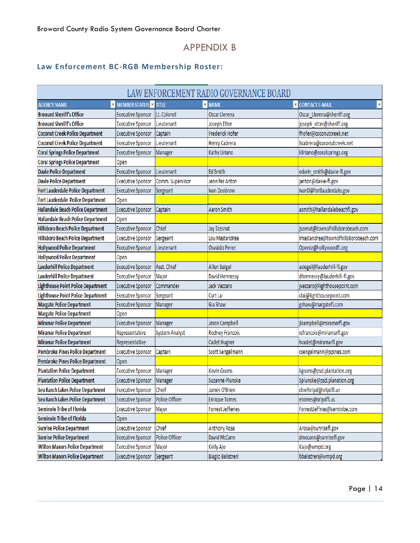# APPENDIX B

## <span id="page-14-0"></span>**Law Enforcement BC-RGB Membership Roster:**

|                                               |                              |                       | LAW ENFORCEMENT RADIO GOVERNANCE BOARD |                                      |
|-----------------------------------------------|------------------------------|-----------------------|----------------------------------------|--------------------------------------|
| <b>AGENCY NAME</b><br>$\overline{\mathbf{v}}$ | <b>MEMBER STATUS V TITLE</b> | Ψ                     | <b>NAME</b><br>$\overline{\mathbf v}$  | <b>CONTACT E-MAIL</b>                |
| <b>Broward Sheriff's Office</b>               | <b>Executive Sponsor</b>     | Lt. Colonel           | Oscar Llerena                          | Oscar_Llerena@sheriff.org            |
| <b>Broward Sheriff's Office</b>               | <b>Executive Sponsor</b>     | Lieutenant            | Joseph Etter                           | joseph_etter@sheriff.org             |
| <b>Coconut Creek Police Department</b>        | <b>Executive Sponsor</b>     | Captain               | <b>Frederick Hofer</b>                 | fhofer@coconutcreek.net              |
| <b>Coconut Creek Police Department</b>        | <b>Executive Sponsor</b>     | Lieutenant            | Henry Cabrera                          | hcabrera@coconutcreek.net            |
| <b>Coral Springs Police Department</b>        | <b>Executive Sponsor</b>     | Manager               | Kathy Liriano                          | kliriano@coralsprings.org            |
| <b>Coral Springs Police Department</b>        | Open                         |                       |                                        |                                      |
| <b>Davie Police Department</b>                | <b>Executive Sponsor</b>     | Lieutenant            | <b>Ed Smith</b>                        | edwin_smith@davie-fl.gov             |
| <b>Davie Police Department</b>                | <b>Executive Sponsor</b>     | Comm. Supervisor      | Jennifer Anton                         | janton@davie-fl.gov                  |
| Fort Lauderdale Police Department             | <b>Executive Sponsor</b>     | Sergeant              | <b>Ivan Doobrow</b>                    | IvanD@fortlauderdale.gov             |
| Fort Lauderdale Police Department             | Open                         |                       |                                        |                                      |
| Hallandale Beach Police Department            | <b>Executive Sponsor</b>     | Captain               | Aaron Smith                            | asmith@hallandalebeachfl.gov         |
| Hallandale Beach Police Department            | Open                         |                       |                                        |                                      |
| <b>Hillsboro Beach Police Department</b>      | <b>Executive Sponsor</b>     | Chief                 | Jay Szesnat                            | jszenat@townofhillsborobeach.com     |
| <b>Hillsboro Beach Police Department</b>      | <b>Executive Sponsor</b>     | Sergeant              | Lou Mastandrea                         | Imastandrea@townofhillsborobeach.com |
| <b>Hollywood Police Department</b>            | <b>Executive Sponsor</b>     | Lieutenant            | Osvaldo Perez                          | Operez@hollywoodfl.org               |
| <b>Hollywood Police Department</b>            | Open                         |                       |                                        |                                      |
| <b>Lauderhill Police Department</b>           | <b>Executive Sponsor</b>     | Asst. Chief           | <b>Allen Seigel</b>                    | asiegel@lauderhill-fl.gov            |
| <b>Lauderhill Police Department</b>           | <b>Executive Sponsor</b>     | Major                 | <b>David Hennessy</b>                  | dhennessy@lauderhill-fl.gov          |
| <b>Lighthouse Point Police Department</b>     | <b>Executive Sponsor</b>     | Commander             | Jack Vaccaro                           | jvaccaro@lighthousepoint.com         |
| <b>Lighthouse Point Police Department</b>     | <b>Executive Sponsor</b>     | Sergeant              | Curt Lai                               | clai@lighthousepoint.com             |
| <b>Margate Police Department</b>              | <b>Executive Sponsor</b>     | Manager               | Gia Shaw                               | gshaw@margatefl.com                  |
| <b>Margate Police Department</b>              | Open                         |                       |                                        |                                      |
| <b>Miramar Police Department</b>              | <b>Executive Sponsor</b>     | Manager               | Jason Campbell                         | jlcampbell@miramarfl.gov             |
| <b>Miramar Police Department</b>              | Representative               | <b>System Analyst</b> | Rodney Francois                        | rcfrancois@miramarfl.gov             |
| <b>Miramar Police Department</b>              | Representative               |                       | Cadet Hugner                           | hcadet@miramarfl.gov                 |
| Pembroke Pines Police Department              | <b>Executive Sponsor</b>     | Captain               | Scott Sengelmann                       | csengelmann@ppines.com               |
| Pembroke Pines Police Department              | Open                         |                       |                                        |                                      |
| <b>Plantation Police Department</b>           | <b>Executive Sponsor</b>     | Manager               | <b>Kevin Grams</b>                     | kgrams@psd.plantation.org            |
| <b>Plantation Police Department</b>           | <b>Executive Sponsor</b>     | Manager               | Suzanne Plunske                        | Splunske@psd.planation.org           |
| Sea Ranch Lakes Police Department             | <b>Executive Sponsor</b>     | Chief                 | James O'Brien                          | chiefsrlpd@srlpdfl.us                |
| Sea Ranch Lakes Police Department             | <b>Executive Sponsor</b>     | Police Officer        | <b>Enrique Torres</b>                  | etorres@srlpdfl.us                   |
| <b>Seminole Tribe of Florida</b>              | <b>Executive Sponsor</b>     | Major                 | <b>Forrest Jefferies</b>               | ForrestJeffries@semtribe.com         |
| <b>Seminole Tribe of Florida</b>              | Open                         |                       |                                        |                                      |
| <b>Sunrise Police Department</b>              | <b>Executive Sponsor</b>     | Chief                 | <b>Anthony Rosa</b>                    | Arosa@sunrisefl.gov                  |
| <b>Sunrise Police Department</b>              | <b>Executive Sponsor</b>     | Police Officer        | David McCann                           | dmccann@sunrisefl.gov                |
| <b>Wilton Manors Police Department</b>        | <b>Executive Sponsor</b>     | Major                 | Kelly Ajo                              | Kajo@wmpd.org                        |
| <b>Wilton Manors Police Department</b>        | <b>Executive Sponsor</b>     | Sergeant              | <b>Biagio Balistreri</b>               | bbalistreri@wmpd.org                 |